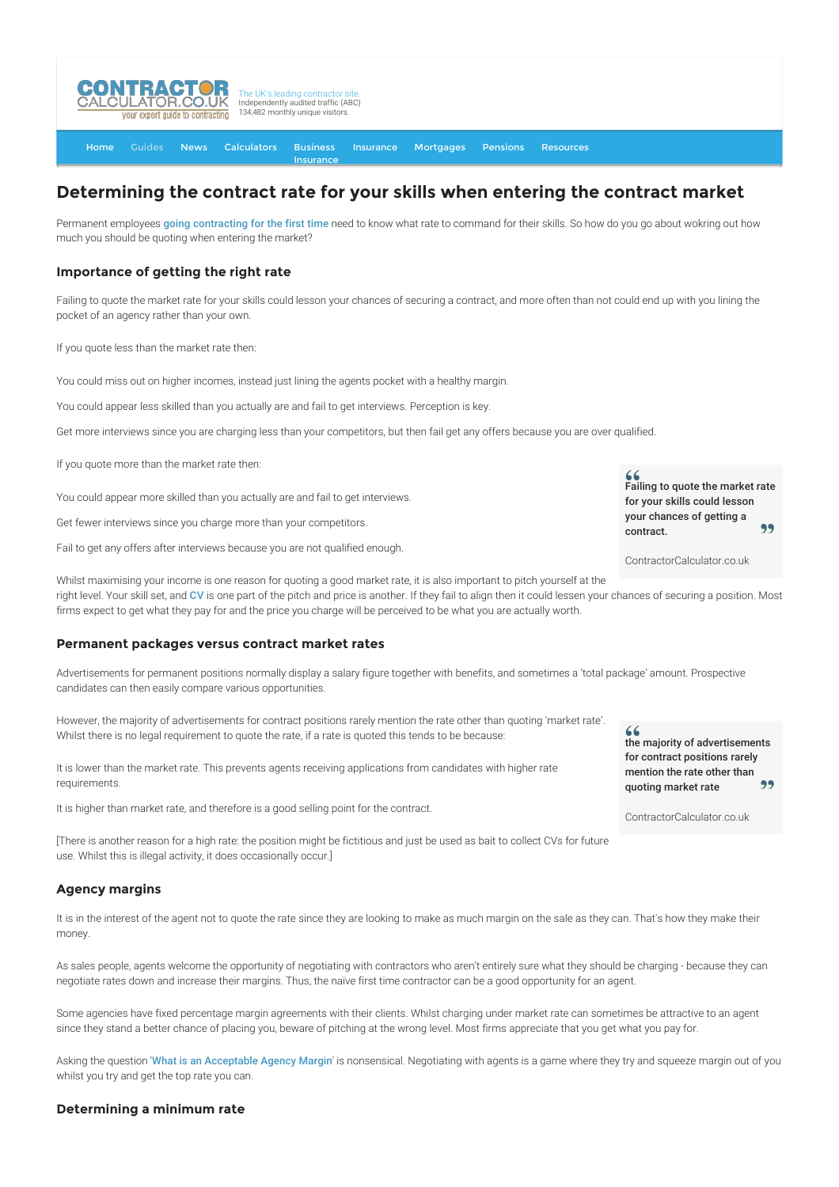

[Home](http://www.contractorcalculator.co.uk/) [Guides](http://www.contractorcalculator.co.uk/Articles.aspx) [News](http://www.contractorcalculator.co.uk/Contractor_News.aspx) [Calculators](http://www.contractorcalculator.co.uk/Calculators.aspx) Business [Insurance](http://www.contractorcalculator.co.uk/Contractor_Insurances.aspx) [Insurance](http://www.contractorcalculator.co.uk/Insurance.aspx) [Mortgages](http://www.contractorcalculator.co.uk/Contractor_Mortgages.aspx) [Pensions](http://www.contractorcalculator.co.uk/Contractor_Pensions.aspx) [Resources](http://www.contractorcalculator.co.uk/Contractor_Resources.aspx)

# **Determining the contract rate for your skills when entering the contract market**

Permanent employees [going contracting for the first time](http://www.contractorcalculator.co.uk/starting_contracting_steps_become_contractor.aspx) need to know what rate to command for their skills. So how do you go about wokring out how much you should be quoting when entering the market?

## **Importance of getting the right rate**

Failing to quote the market rate for your skills could lesson your chances of securing a contract, and more often than not could end up with you lining the pocket of an agency rather than your own.

If you quote less than the market rate then:

You could miss out on higher incomes, instead just lining the agents pocket with a healthy margin.

You could appear less skilled than you actually are and fail to get interviews. Perception is key.

Get more interviews since you are charging less than your competitors, but then fail get any offers because you are over qualified.

If you quote more than the market rate then:

You could appear more skilled than you actually are and fail to get interviews.

Get fewer interviews since you charge more than your competitors.

Fail to get any offers after interviews because you are not qualified enough.

 $66$ Failing to quote the market rate for your skills could lesson your chances of getting a 99 contract.

ContractorCalculator.co.uk

Whilst maximising your income is one reason for quoting a good market rate, it is also important to pitch yourself at the right level. Your skill set, and [CV](http://www.contractorcalculator.co.uk/contractor_cv_writing.aspx) is one part of the pitch and price is another. If they fail to align then it could lessen your chances of securing a position. Most firms expect to get what they pay for and the price you charge will be perceived to be what you are actually worth.

#### **Permanent packages versus contract market rates**

Advertisements for permanent positions normally display a salary figure together with benefits, and sometimes a 'total package' amount. Prospective candidates can then easily compare various opportunities.

However, the majority of advertisements for contract positions rarely mention the rate other than quoting 'market rate'. Whilst there is no legal requirement to quote the rate, if a rate is quoted this tends to be because:

It is lower than the market rate. This prevents agents receiving applications from candidates with higher rate requirements.

It is higher than market rate, and therefore is a good selling point for the contract.

[There is another reason for a high rate: the position might be fictitious and just be used as bait to collect CVs for future use. Whilst this is illegal activity, it does occasionally occur.]

## **Agency margins**

It is in the interest of the agent not to quote the rate since they are looking to make as much margin on the sale as they can. That's how they make their money

As sales people, agents welcome the opportunity of negotiating with contractors who aren't entirely sure what they should be charging - because they can negotiate rates down and increase their margins. Thus, the naïve first time contractor can be a good opportunity for an agent.

Some agencies have fixed percentage margin agreements with their clients. Whilst charging under market rate can sometimes be attractive to an agent since they stand a better chance of placing you, beware of pitching at the wrong level. Most firms appreciate that you get what you pay for.

Asking the question '[What is an Acceptable Agency Margin](http://www.contractorcalculator.co.uk/contractor_agency_margin.aspx)' is nonsensical. Negotiating with agents is a game where they try and squeeze margin out of you whilst you try and get the top rate you can.

#### **Determining a minimum rate**

 $66$ the majority of advertisements for contract positions rarely mention the rate other than quoting market rate

ContractorCalculator.co.uk